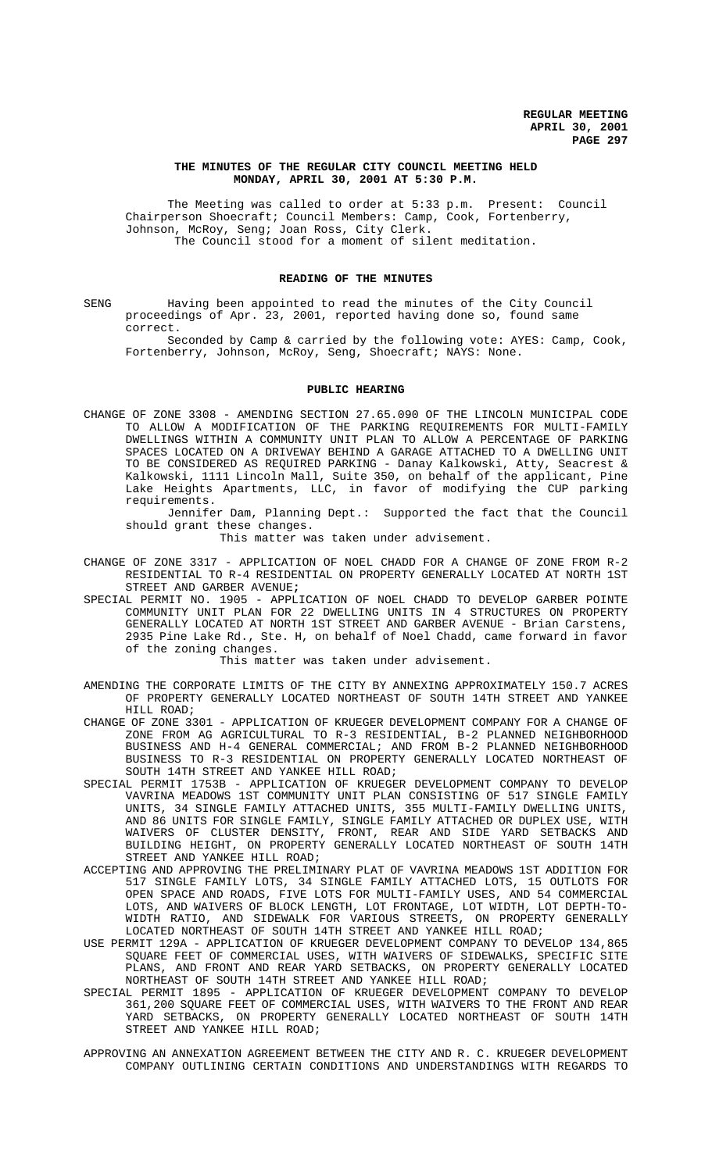# **THE MINUTES OF THE REGULAR CITY COUNCIL MEETING HELD MONDAY, APRIL 30, 2001 AT 5:30 P.M.**

The Meeting was called to order at 5:33 p.m. Present: Council Chairperson Shoecraft; Council Members: Camp, Cook, Fortenberry, Johnson, McRoy, Seng; Joan Ross, City Clerk. The Council stood for a moment of silent meditation.

# **READING OF THE MINUTES**

SENG Having been appointed to read the minutes of the City Council proceedings of Apr. 23, 2001, reported having done so, found same correct.

Seconded by Camp & carried by the following vote: AYES: Camp, Cook, Fortenberry, Johnson, McRoy, Seng, Shoecraft; NAYS: None.

## **PUBLIC HEARING**

CHANGE OF ZONE 3308 - AMENDING SECTION 27.65.090 OF THE LINCOLN MUNICIPAL CODE TO ALLOW A MODIFICATION OF THE PARKING REQUIREMENTS FOR MULTI-FAMILY DWELLINGS WITHIN A COMMUNITY UNIT PLAN TO ALLOW A PERCENTAGE OF PARKING SPACES LOCATED ON A DRIVEWAY BEHIND A GARAGE ATTACHED TO A DWELLING UNIT TO BE CONSIDERED AS REQUIRED PARKING - Danay Kalkowski, Atty, Seacrest & Kalkowski, 1111 Lincoln Mall, Suite 350, on behalf of the applicant, Pine Lake Heights Apartments, LLC, in favor of modifying the CUP parking requirements.

Jennifer Dam, Planning Dept.: Supported the fact that the Council should grant these changes.

This matter was taken under advisement.

- CHANGE OF ZONE 3317 APPLICATION OF NOEL CHADD FOR A CHANGE OF ZONE FROM R-2 RESIDENTIAL TO R-4 RESIDENTIAL ON PROPERTY GENERALLY LOCATED AT NORTH 1ST STREET AND GARBER AVENUE**;**
- SPECIAL PERMIT NO. 1905 APPLICATION OF NOEL CHADD TO DEVELOP GARBER POINTE COMMUNITY UNIT PLAN FOR 22 DWELLING UNITS IN 4 STRUCTURES ON PROPERTY GENERALLY LOCATED AT NORTH 1ST STREET AND GARBER AVENUE - Brian Carstens, 2935 Pine Lake Rd., Ste. H, on behalf of Noel Chadd, came forward in favor of the zoning changes.

This matter was taken under advisement.

- AMENDING THE CORPORATE LIMITS OF THE CITY BY ANNEXING APPROXIMATELY 150.7 ACRES OF PROPERTY GENERALLY LOCATED NORTHEAST OF SOUTH 14TH STREET AND YANKEE HILL ROAD;
- CHANGE OF ZONE 3301 APPLICATION OF KRUEGER DEVELOPMENT COMPANY FOR A CHANGE OF ZONE FROM AG AGRICULTURAL TO R-3 RESIDENTIAL, B-2 PLANNED NEIGHBORHOOD BUSINESS AND H-4 GENERAL COMMERCIAL; AND FROM B-2 PLANNED NEIGHBORHOOD BUSINESS TO R-3 RESIDENTIAL ON PROPERTY GENERALLY LOCATED NORTHEAST OF SOUTH 14TH STREET AND YANKEE HILL ROAD;
- SPECIAL PERMIT 1753B APPLICATION OF KRUEGER DEVELOPMENT COMPANY TO DEVELOP VAVRINA MEADOWS 1ST COMMUNITY UNIT PLAN CONSISTING OF 517 SINGLE FAMILY UNITS, 34 SINGLE FAMILY ATTACHED UNITS, 355 MULTI-FAMILY DWELLING UNITS, AND 86 UNITS FOR SINGLE FAMILY, SINGLE FAMILY ATTACHED OR DUPLEX USE, WITH WAIVERS OF CLUSTER DENSITY, FRONT, REAR AND SIDE YARD SETBACKS AND BUILDING HEIGHT, ON PROPERTY GENERALLY LOCATED NORTHEAST OF SOUTH 14TH STREET AND YANKEE HILL ROAD;
- ACCEPTING AND APPROVING THE PRELIMINARY PLAT OF VAVRINA MEADOWS 1ST ADDITION FOR 517 SINGLE FAMILY LOTS, 34 SINGLE FAMILY ATTACHED LOTS, 15 OUTLOTS FOR OPEN SPACE AND ROADS, FIVE LOTS FOR MULTI-FAMILY USES, AND 54 COMMERCIAL LOTS, AND WAIVERS OF BLOCK LENGTH, LOT FRONTAGE, LOT WIDTH, LOT DEPTH-TO-WIDTH RATIO, AND SIDEWALK FOR VARIOUS STREETS, ON PROPERTY GENERALLY LOCATED NORTHEAST OF SOUTH 14TH STREET AND YANKEE HILL ROAD;
- USE PERMIT 129A APPLICATION OF KRUEGER DEVELOPMENT COMPANY TO DEVELOP 134,865 SQUARE FEET OF COMMERCIAL USES, WITH WAIVERS OF SIDEWALKS, SPECIFIC SITE PLANS, AND FRONT AND REAR YARD SETBACKS, ON PROPERTY GENERALLY LOCATED NORTHEAST OF SOUTH 14TH STREET AND YANKEE HILL ROAD;
- SPECIAL PERMIT 1895 APPLICATION OF KRUEGER DEVELOPMENT COMPANY TO DEVELOP 361,200 SQUARE FEET OF COMMERCIAL USES, WITH WAIVERS TO THE FRONT AND REAR YARD SETBACKS, ON PROPERTY GENERALLY LOCATED NORTHEAST OF SOUTH 14TH STREET AND YANKEE HILL ROAD;
- APPROVING AN ANNEXATION AGREEMENT BETWEEN THE CITY AND R. C. KRUEGER DEVELOPMENT COMPANY OUTLINING CERTAIN CONDITIONS AND UNDERSTANDINGS WITH REGARDS TO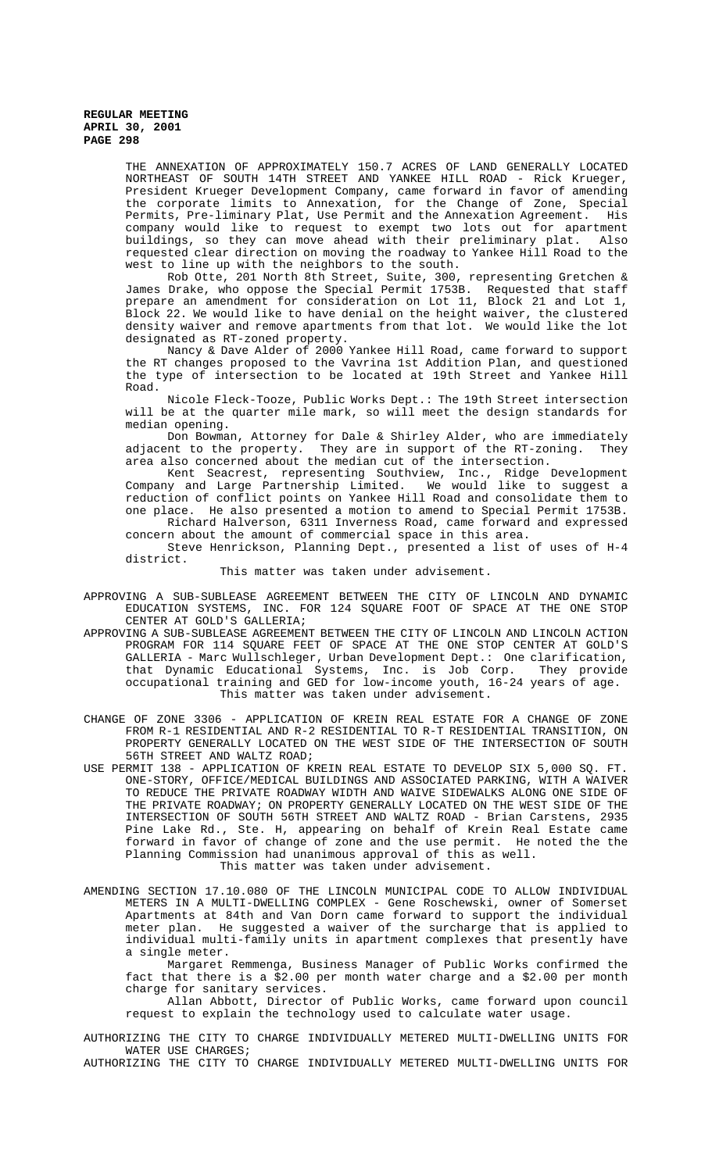THE ANNEXATION OF APPROXIMATELY 150.7 ACRES OF LAND GENERALLY LOCATED NORTHEAST OF SOUTH 14TH STREET AND YANKEE HILL ROAD - Rick Krueger, President Krueger Development Company, came forward in favor of amending the corporate limits to Annexation, for the Change of Zone, Special Permits, Pre-liminary Plat, Use Permit and the Annexation Agreement. His company would like to request to exempt two lots out for apartment buildings, so they can move ahead with their preliminary plat. Also requested clear direction on moving the roadway to Yankee Hill Road to the west to line up with the neighbors to the south.

Rob Otte, 201 North 8th Street, Suite, 300, representing Gretchen & James Drake, who oppose the Special Permit 1753B. Requested that staff prepare an amendment for consideration on Lot 11, Block 21 and Lot 1, Block 22. We would like to have denial on the height waiver, the clustered density waiver and remove apartments from that lot. We would like the lot designated as RT-zoned property.

Nancy & Dave Alder of 2000 Yankee Hill Road, came forward to support the RT changes proposed to the Vavrina 1st Addition Plan, and questioned the type of intersection to be located at 19th Street and Yankee Hill Road.

Nicole Fleck-Tooze, Public Works Dept.: The 19th Street intersection will be at the quarter mile mark, so will meet the design standards for median opening.

Don Bowman, Attorney for Dale & Shirley Alder, who are immediately adjacent to the property. They are in support of the RT-zoning. They area also concerned about the median cut of the intersection.

Kent Seacrest, representing Southview, Inc., Ridge Development Company and Large Partnership Limited. We would like to suggest a reduction of conflict points on Yankee Hill Road and consolidate them to one place. He also presented a motion to amend to Special Permit 1753B. Richard Halverson, 6311 Inverness Road, came forward and expressed

concern about the amount of commercial space in this area. Steve Henrickson, Planning Dept., presented a list of uses of H-4

district.

This matter was taken under advisement.

- APPROVING A SUB-SUBLEASE AGREEMENT BETWEEN THE CITY OF LINCOLN AND DYNAMIC EDUCATION SYSTEMS, INC. FOR 124 SQUARE FOOT OF SPACE AT THE ONE STOP CENTER AT GOLD'S GALLERIA;
- APPROVING A SUB-SUBLEASE AGREEMENT BETWEEN THE CITY OF LINCOLN AND LINCOLN ACTION PROGRAM FOR 114 SQUARE FEET OF SPACE AT THE ONE STOP CENTER AT GOLD'S GALLERIA - Marc Wullschleger, Urban Development Dept.: One clarification, that Dynamic Educational Systems, Inc. is Job Corp. They provide occupational training and GED for low-income youth, 16-24 years of age. This matter was taken under advisement.
- CHANGE OF ZONE 3306 APPLICATION OF KREIN REAL ESTATE FOR A CHANGE OF ZONE FROM R-1 RESIDENTIAL AND R-2 RESIDENTIAL TO R-T RESIDENTIAL TRANSITION, ON PROPERTY GENERALLY LOCATED ON THE WEST SIDE OF THE INTERSECTION OF SOUTH 56TH STREET AND WALTZ ROAD;
- USE PERMIT 138 APPLICATION OF KREIN REAL ESTATE TO DEVELOP SIX 5,000 SQ. FT. ONE-STORY, OFFICE/MEDICAL BUILDINGS AND ASSOCIATED PARKING, WITH A WAIVER TO REDUCE THE PRIVATE ROADWAY WIDTH AND WAIVE SIDEWALKS ALONG ONE SIDE OF THE PRIVATE ROADWAY; ON PROPERTY GENERALLY LOCATED ON THE WEST SIDE OF THE INTERSECTION OF SOUTH 56TH STREET AND WALTZ ROAD - Brian Carstens, 2935 Pine Lake Rd., Ste. H, appearing on behalf of Krein Real Estate came forward in favor of change of zone and the use permit. He noted the the Planning Commission had unanimous approval of this as well. This matter was taken under advisement.
- AMENDING SECTION 17.10.080 OF THE LINCOLN MUNICIPAL CODE TO ALLOW INDIVIDUAL METERS IN A MULTI-DWELLING COMPLEX - Gene Roschewski, owner of Somerset Apartments at 84th and Van Dorn came forward to support the individual meter plan. He suggested a waiver of the surcharge that is applied to individual multi-family units in apartment complexes that presently have a single meter.

Margaret Remmenga, Business Manager of Public Works confirmed the fact that there is a \$2.00 per month water charge and a \$2.00 per month charge for sanitary services.

Allan Abbott, Director of Public Works, came forward upon council request to explain the technology used to calculate water usage.

AUTHORIZING THE CITY TO CHARGE INDIVIDUALLY METERED MULTI-DWELLING UNITS FOR WATER USE CHARGES; AUTHORIZING THE CITY TO CHARGE INDIVIDUALLY METERED MULTI-DWELLING UNITS FOR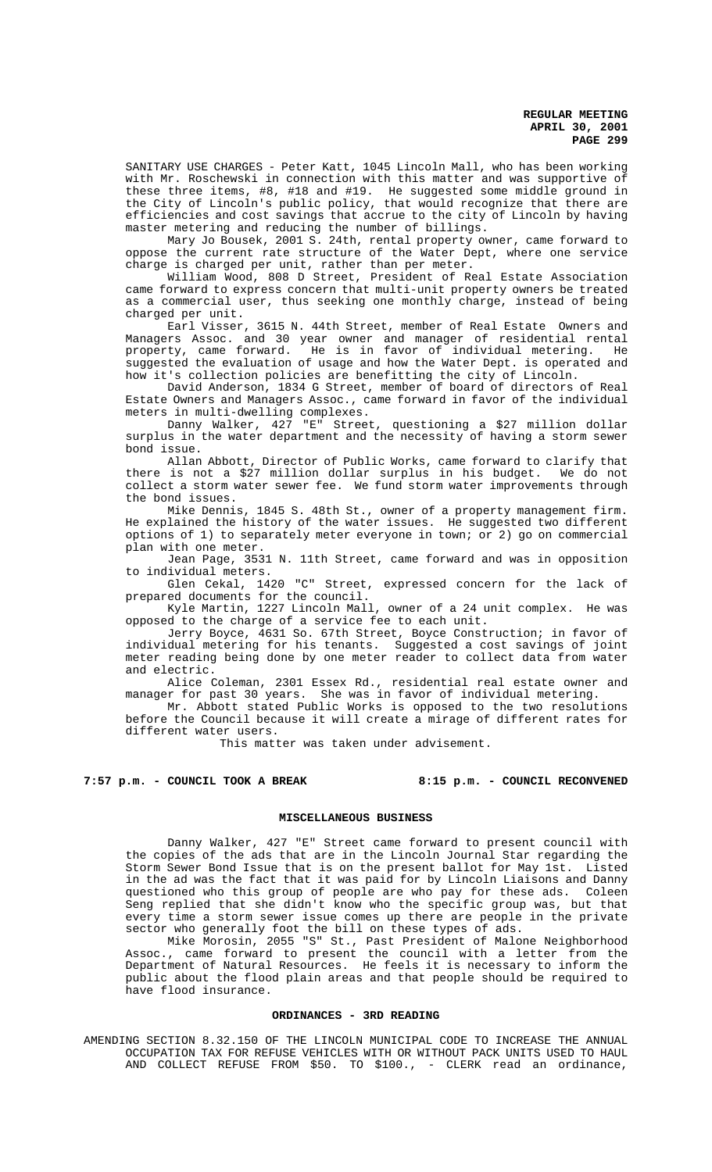SANITARY USE CHARGES - Peter Katt, 1045 Lincoln Mall, who has been working with Mr. Roschewski in connection with this matter and was supportive of these three items, #8, #18 and #19. He suggested some middle ground in the City of Lincoln's public policy, that would recognize that there are efficiencies and cost savings that accrue to the city of Lincoln by having master metering and reducing the number of billings.

Mary Jo Bousek, 2001 S. 24th, rental property owner, came forward to oppose the current rate structure of the Water Dept, where one service charge is charged per unit, rather than per meter.

William Wood, 808 D Street, President of Real Estate Association came forward to express concern that multi-unit property owners be treated as a commercial user, thus seeking one monthly charge, instead of being charged per unit.

Earl Visser, 3615 N. 44th Street, member of Real Estate Owners and Managers Assoc. and 30 year owner and manager of residential rental property, came forward. He is in favor of individual metering. He suggested the evaluation of usage and how the Water Dept. is operated and how it's collection policies are benefitting the city of Lincoln.

David Anderson, 1834 G Street, member of board of directors of Real Estate Owners and Managers Assoc., came forward in favor of the individual meters in multi-dwelling complexes.

Danny Walker, 427 "E" Street, questioning a \$27 million dollar surplus in the water department and the necessity of having a storm sewer bond issue.

Allan Abbott, Director of Public Works, came forward to clarify that there is not a \$27 million dollar surplus in his budget. We do not collect a storm water sewer fee. We fund storm water improvements through the bond issues.

Mike Dennis, 1845 S. 48th St., owner of a property management firm. He explained the history of the water issues. He suggested two different options of 1) to separately meter everyone in town; or 2) go on commercial plan with one meter.

Jean Page, 3531 N. 11th Street, came forward and was in opposition to individual meters.

Glen Cekal, 1420 "C" Street, expressed concern for the lack of prepared documents for the council.

Kyle Martin, 1227 Lincoln Mall, owner of a 24 unit complex. He was opposed to the charge of a service fee to each unit.

Jerry Boyce, 4631 So. 67th Street, Boyce Construction; in favor of individual metering for his tenants. Suggested a cost savings of joint meter reading being done by one meter reader to collect data from water and electric.

Alice Coleman, 2301 Essex Rd., residential real estate owner and manager for past 30 years. She was in favor of individual metering.

Mr. Abbott stated Public Works is opposed to the two resolutions before the Council because it will create a mirage of different rates for different water users.

This matter was taken under advisement.

**7:57 p.m. - COUNCIL TOOK A BREAK 8:15 p.m. - COUNCIL RECONVENED**

## **MISCELLANEOUS BUSINESS**

Danny Walker, 427 "E" Street came forward to present council with the copies of the ads that are in the Lincoln Journal Star regarding the Storm Sewer Bond Issue that is on the present ballot for May 1st. Listed in the ad was the fact that it was paid for by Lincoln Liaisons and Danny questioned who this group of people are who pay for these ads. Coleen Seng replied that she didn't know who the specific group was, but that every time a storm sewer issue comes up there are people in the private sector who generally foot the bill on these types of ads.

Mike Morosin, 2055 "S" St., Past President of Malone Neighborhood Assoc., came forward to present the council with a letter from the Department of Natural Resources. He feels it is necessary to inform the public about the flood plain areas and that people should be required to have flood insurance.

## **ORDINANCES - 3RD READING**

AMENDING SECTION 8.32.150 OF THE LINCOLN MUNICIPAL CODE TO INCREASE THE ANNUAL OCCUPATION TAX FOR REFUSE VEHICLES WITH OR WITHOUT PACK UNITS USED TO HAUL AND COLLECT REFUSE FROM \$50. TO \$100., - CLERK read an ordinance,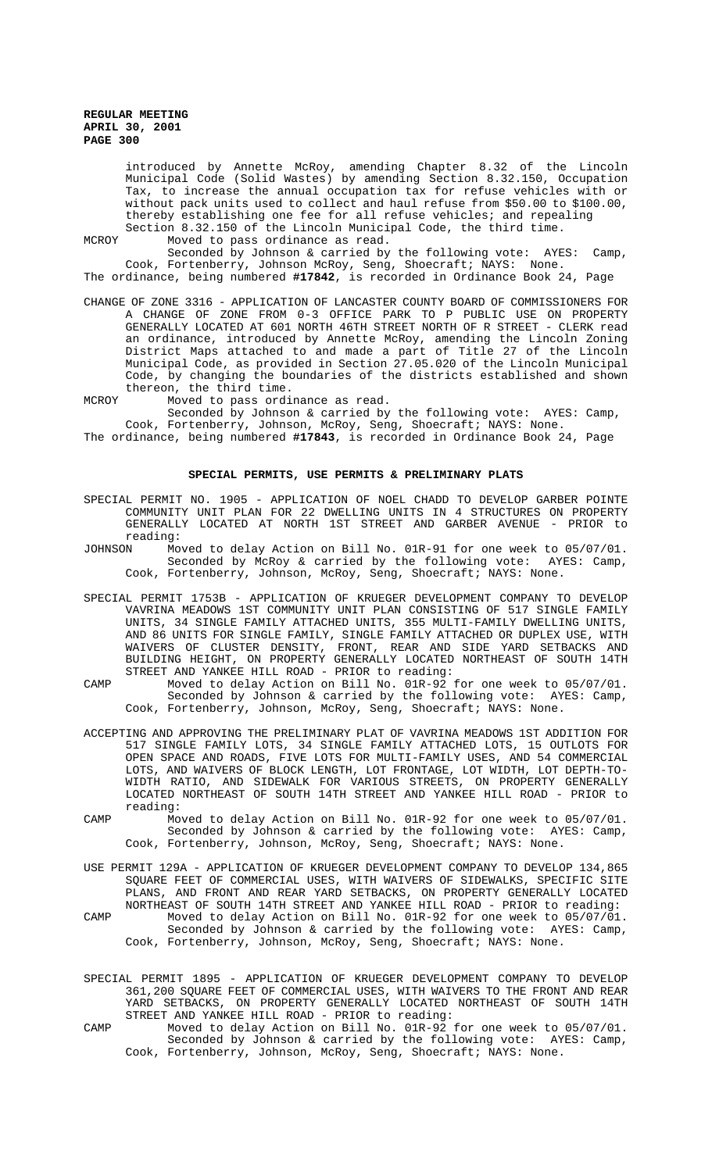introduced by Annette McRoy, amending Chapter 8.32 of the Lincoln Municipal Code (Solid Wastes) by amending Section 8.32.150, Occupation Tax, to increase the annual occupation tax for refuse vehicles with or without pack units used to collect and haul refuse from \$50.00 to \$100.00, thereby establishing one fee for all refuse vehicles; and repealing Section 8.32.150 of the Lincoln Municipal Code, the third time.

MCROY Moved to pass ordinance as read.

Seconded by Johnson & carried by the following vote: AYES: Camp, Cook, Fortenberry, Johnson McRoy, Seng, Shoecraft; NAYS: None.

The ordinance, being numbered **#17842**, is recorded in Ordinance Book 24, Page

CHANGE OF ZONE 3316 - APPLICATION OF LANCASTER COUNTY BOARD OF COMMISSIONERS FOR A CHANGE OF ZONE FROM 0-3 OFFICE PARK TO P PUBLIC USE ON PROPERTY GENERALLY LOCATED AT 601 NORTH 46TH STREET NORTH OF R STREET - CLERK read an ordinance, introduced by Annette McRoy, amending the Lincoln Zoning District Maps attached to and made a part of Title 27 of the Lincoln Municipal Code, as provided in Section 27.05.020 of the Lincoln Municipal Code, by changing the boundaries of the districts established and shown thereon, the third time.

MCROY Moved to pass ordinance as read.

Seconded by Johnson & carried by the following vote: AYES: Camp, Cook, Fortenberry, Johnson, McRoy, Seng, Shoecraft; NAYS: None.

The ordinance, being numbered **#17843**, is recorded in Ordinance Book 24, Page

# **SPECIAL PERMITS, USE PERMITS & PRELIMINARY PLATS**

- SPECIAL PERMIT NO. 1905 APPLICATION OF NOEL CHADD TO DEVELOP GARBER POINTE COMMUNITY UNIT PLAN FOR 22 DWELLING UNITS IN 4 STRUCTURES ON PROPERTY GENERALLY LOCATED AT NORTH 1ST STREET AND GARBER AVENUE - PRIOR to reading:
- JOHNSON Moved to delay Action on Bill No. 01R-91 for one week to 05/07/01. Seconded by McRoy & carried by the following vote: AYES: Camp, Cook, Fortenberry, Johnson, McRoy, Seng, Shoecraft; NAYS: None.
- SPECIAL PERMIT 1753B APPLICATION OF KRUEGER DEVELOPMENT COMPANY TO DEVELOP VAVRINA MEADOWS 1ST COMMUNITY UNIT PLAN CONSISTING OF 517 SINGLE FAMILY UNITS, 34 SINGLE FAMILY ATTACHED UNITS, 355 MULTI-FAMILY DWELLING UNITS, AND 86 UNITS FOR SINGLE FAMILY, SINGLE FAMILY ATTACHED OR DUPLEX USE, WITH WAIVERS OF CLUSTER DENSITY, FRONT, REAR AND SIDE YARD SETBACKS AND BUILDING HEIGHT, ON PROPERTY GENERALLY LOCATED NORTHEAST OF SOUTH 14TH STREET AND YANKEE HILL ROAD - PRIOR to reading:
- CAMP Moved to delay Action on Bill No. 01R-92 for one week to 05/07/01. Seconded by Johnson & carried by the following vote: AYES: Camp, Cook, Fortenberry, Johnson, McRoy, Seng, Shoecraft; NAYS: None.
- ACCEPTING AND APPROVING THE PRELIMINARY PLAT OF VAVRINA MEADOWS 1ST ADDITION FOR 517 SINGLE FAMILY LOTS, 34 SINGLE FAMILY ATTACHED LOTS, 15 OUTLOTS FOR OPEN SPACE AND ROADS, FIVE LOTS FOR MULTI-FAMILY USES, AND 54 COMMERCIAL LOTS, AND WAIVERS OF BLOCK LENGTH, LOT FRONTAGE, LOT WIDTH, LOT DEPTH-TO-WIDTH RATIO, AND SIDEWALK FOR VARIOUS STREETS, ON PROPERTY GENERALLY LOCATED NORTHEAST OF SOUTH 14TH STREET AND YANKEE HILL ROAD - PRIOR to reading:
- CAMP Moved to delay Action on Bill No. 01R-92 for one week to 05/07/01. Seconded by Johnson & carried by the following vote: AYES: Camp, Cook, Fortenberry, Johnson, McRoy, Seng, Shoecraft; NAYS: None.
- USE PERMIT 129A APPLICATION OF KRUEGER DEVELOPMENT COMPANY TO DEVELOP 134,865 SQUARE FEET OF COMMERCIAL USES, WITH WAIVERS OF SIDEWALKS, SPECIFIC SITE PLANS, AND FRONT AND REAR YARD SETBACKS, ON PROPERTY GENERALLY LOCATED NORTHEAST OF SOUTH 14TH STREET AND YANKEE HILL ROAD - PRIOR to reading:
- CAMP Moved to delay Action on Bill No. 01R-92 for one week to 05/07/01. Seconded by Johnson & carried by the following vote: AYES: Camp, Cook, Fortenberry, Johnson, McRoy, Seng, Shoecraft; NAYS: None.
- SPECIAL PERMIT 1895 APPLICATION OF KRUEGER DEVELOPMENT COMPANY TO DEVELOP 361,200 SQUARE FEET OF COMMERCIAL USES, WITH WAIVERS TO THE FRONT AND REAR YARD SETBACKS, ON PROPERTY GENERALLY LOCATED NORTHEAST OF SOUTH 14TH STREET AND YANKEE HILL ROAD - PRIOR to reading:
- CAMP Moved to delay Action on Bill No. 01R-92 for one week to 05/07/01. Seconded by Johnson & carried by the following vote: AYES: Camp, Cook, Fortenberry, Johnson, McRoy, Seng, Shoecraft; NAYS: None.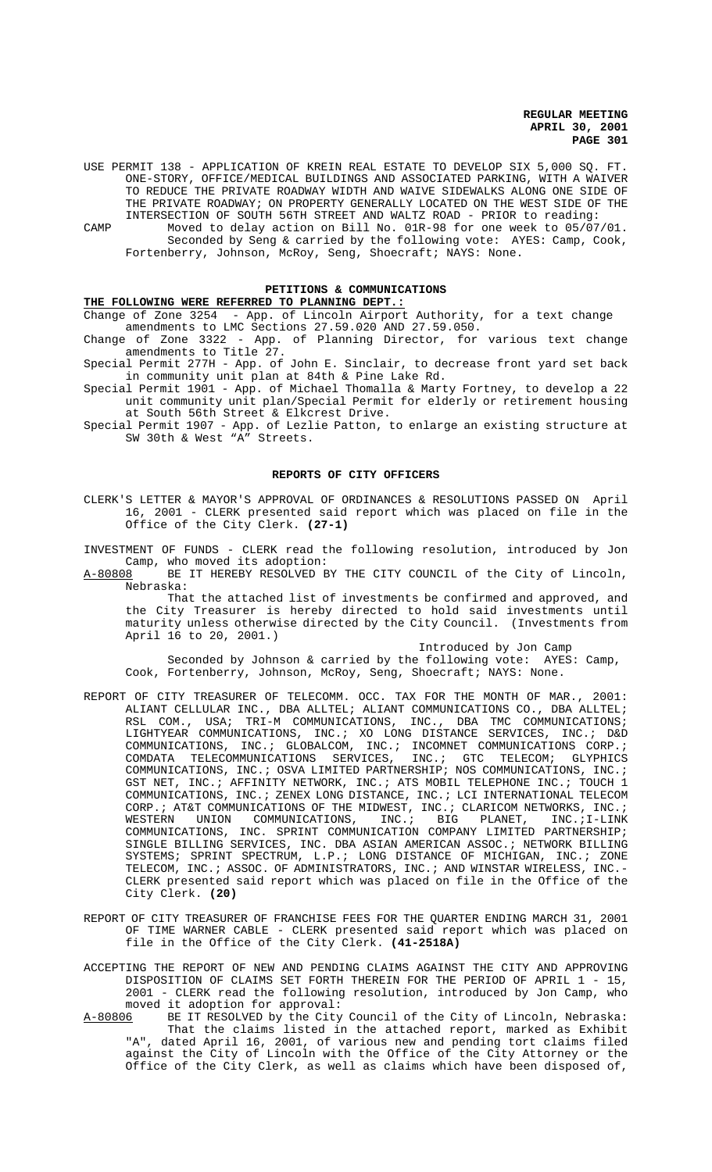USE PERMIT 138 - APPLICATION OF KREIN REAL ESTATE TO DEVELOP SIX 5,000 SQ. FT. ONE-STORY, OFFICE/MEDICAL BUILDINGS AND ASSOCIATED PARKING, WITH A WAIVER TO REDUCE THE PRIVATE ROADWAY WIDTH AND WAIVE SIDEWALKS ALONG ONE SIDE OF THE PRIVATE ROADWAY; ON PROPERTY GENERALLY LOCATED ON THE WEST SIDE OF THE INTERSECTION OF SOUTH 56TH STREET AND WALTZ ROAD - PRIOR to reading:

CAMP Moved to delay action on Bill No. 01R-98 for one week to 05/07/01. Seconded by Seng & carried by the following vote: AYES: Camp, Cook, Fortenberry, Johnson, McRoy, Seng, Shoecraft; NAYS: None.

# **PETITIONS & COMMUNICATIONS**

# **THE FOLLOWING WERE REFERRED TO PLANNING DEPT.:**

Change of Zone 3254 - App. of Lincoln Airport Authority, for a text change amendments to LMC Sections 27.59.020 AND 27.59.050.

Change of Zone 3322 - App. of Planning Director, for various text change amendments to Title 27.

Special Permit 277H - App. of John E. Sinclair, to decrease front yard set back in community unit plan at 84th & Pine Lake Rd.

Special Permit 1901 - App. of Michael Thomalla & Marty Fortney, to develop a 22 unit community unit plan/Special Permit for elderly or retirement housing at South 56th Street & Elkcrest Drive.

Special Permit 1907 - App. of Lezlie Patton, to enlarge an existing structure at SW 30th & West "A" Streets.

## **REPORTS OF CITY OFFICERS**

CLERK'S LETTER & MAYOR'S APPROVAL OF ORDINANCES & RESOLUTIONS PASSED ON April 16, 2001 - CLERK presented said report which was placed on file in the Office of the City Clerk. **(27-1)**

INVESTMENT OF FUNDS - CLERK read the following resolution, introduced by Jon Camp, who moved its adoption:<br>A-80808 BE IT HEREBY RESOLVED B

BE IT HEREBY RESOLVED BY THE CITY COUNCIL of the City of Lincoln, Nebraska:

That the attached list of investments be confirmed and approved, and the City Treasurer is hereby directed to hold said investments until maturity unless otherwise directed by the City Council. (Investments from April 16 to 20, 2001.)

Introduced by Jon Camp

Seconded by Johnson & carried by the following vote: AYES: Camp, Cook, Fortenberry, Johnson, McRoy, Seng, Shoecraft; NAYS: None.

- REPORT OF CITY TREASURER OF TELECOMM. OCC. TAX FOR THE MONTH OF MAR., 2001: ALIANT CELLULAR INC., DBA ALLTEL; ALIANT COMMUNICATIONS CO., DBA ALLTEL; RSL COM., USA; TRI-M COMMUNICATIONS, INC., DBA TMC COMMUNICATIONS; LIGHTYEAR COMMUNICATIONS, INC.; XO LONG DISTANCE SERVICES, INC.; D&D COMMUNICATIONS, INC.; GLOBALCOM, INC.; INCOMNET COMMUNICATIONS CORP.; COMDATA TELECOMMUNICATIONS SERVICES, INC.; GTC TELECOM; GLYPHICS COMMUNICATIONS, INC.; OSVA LIMITED PARTNERSHIP; NOS COMMUNICATIONS, INC.; GST NET, INC.; AFFINITY NETWORK, INC.; ATS MOBIL TELEPHONE INC.; TOUCH 1 COMMUNICATIONS, INC.; ZENEX LONG DISTANCE, INC.; LCI INTERNATIONAL TELECOM CORP.; AT&T COMMUNICATIONS OF THE MIDWEST, INC.; CLARICOM NETWORKS, INC.; WESTERN UNION COMMUNICATIONS, INC.; BIG PLANET, INC.;I-LINK COMMUNICATIONS, INC. SPRINT COMMUNICATION COMPANY LIMITED PARTNERSHIP; SINGLE BILLING SERVICES, INC. DBA ASIAN AMERICAN ASSOC.; NETWORK BILLING SYSTEMS; SPRINT SPECTRUM, L.P.; LONG DISTANCE OF MICHIGAN, INC.; ZONE TELECOM, INC.; ASSOC. OF ADMINISTRATORS, INC.; AND WINSTAR WIRELESS, INC.-CLERK presented said report which was placed on file in the Office of the City Clerk. **(20)**
- REPORT OF CITY TREASURER OF FRANCHISE FEES FOR THE QUARTER ENDING MARCH 31, 2001 OF TIME WARNER CABLE - CLERK presented said report which was placed on file in the Office of the City Clerk. **(41-2518A)**
- ACCEPTING THE REPORT OF NEW AND PENDING CLAIMS AGAINST THE CITY AND APPROVING DISPOSITION OF CLAIMS SET FORTH THEREIN FOR THE PERIOD OF APRIL 1 - 15, 2001 - CLERK read the following resolution, introduced by Jon Camp, who moved it adoption for approval:
- A-80806 BE IT RESOLVED by the City Council of the City of Lincoln, Nebraska: That the claims listed in the attached report, marked as Exhibit "A", dated April 16, 2001, of various new and pending tort claims filed against the City of Lincoln with the Office of the City Attorney or the Office of the City Clerk, as well as claims which have been disposed of,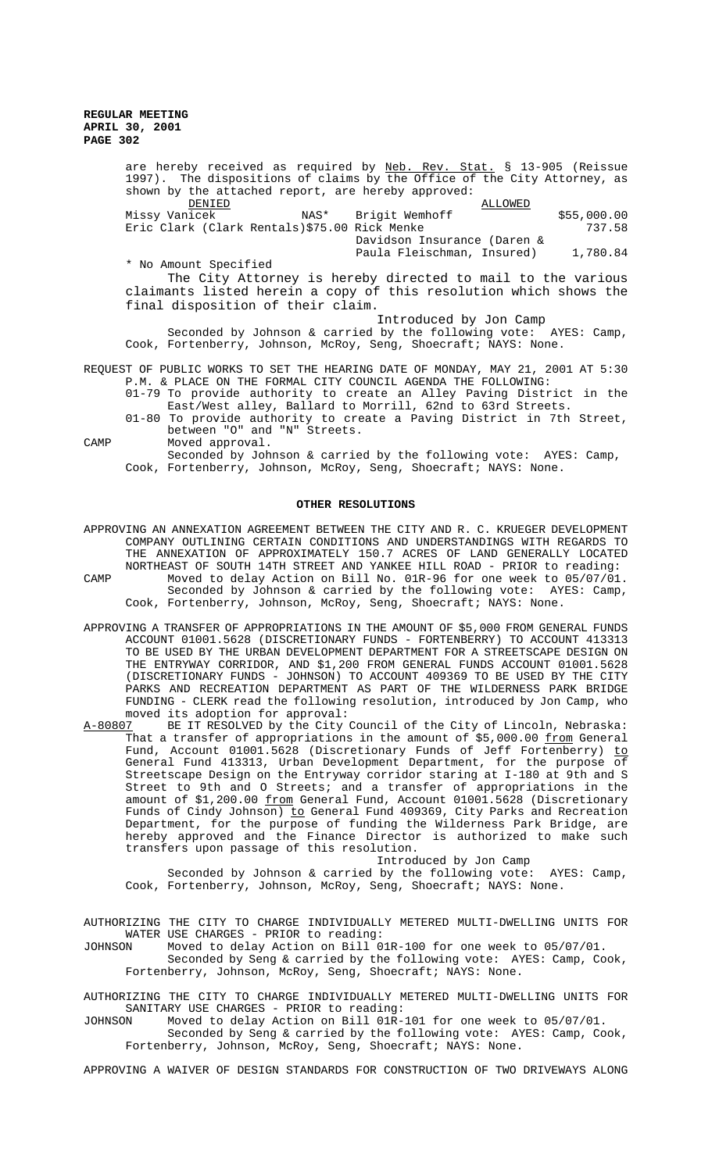are hereby received as required by Neb. Rev. Stat. § 13-905 (Reissue 1997). The dispositions of claims by the Office of the City Attorney, as shown by the attached report, are hereby approved:  $\overline{\text{DELLOWED}}$  and  $\overline{\text{ALLOWED}}$ Missy Vanicek MAS\* Brigit Wemhoff (\$55,000.00<br>Eric Clark (Clark Rentals)\$75.00 Rick Menke (\$55,000.00 Eric Clark (Clark Rentals) \$75.00 Rick Menke Davidson Insurance (Daren & Paula Fleischman, Insured) 1,780.84 \* No Amount Specified The City Attorney is hereby directed to mail to the various claimants listed herein a copy of this resolution which shows the final disposition of their claim. Introduced by Jon Camp Seconded by Johnson & carried by the following vote:  $AYES: Camp$ , Cook, Fortenberry, Johnson, McRoy, Seng, Shoecraft; NAYS: None. REQUEST OF PUBLIC WORKS TO SET THE HEARING DATE OF MONDAY, MAY 21, 2001 AT 5:30

- P.M. & PLACE ON THE FORMAL CITY COUNCIL AGENDA THE FOLLOWING: 01-79 To provide authority to create an Alley Paving District in the East/West alley, Ballard to Morrill, 62nd to 63rd Streets.
- 01-80 To provide authority to create a Paving District in 7th Street, between "O" and "N" Streets.

CAMP Moved approval.

Seconded by Johnson & carried by the following vote: AYES: Camp, Cook, Fortenberry, Johnson, McRoy, Seng, Shoecraft; NAYS: None.

## **OTHER RESOLUTIONS**

- APPROVING AN ANNEXATION AGREEMENT BETWEEN THE CITY AND R. C. KRUEGER DEVELOPMENT COMPANY OUTLINING CERTAIN CONDITIONS AND UNDERSTANDINGS WITH REGARDS TO THE ANNEXATION OF APPROXIMATELY 150.7 ACRES OF LAND GENERALLY LOCATED NORTHEAST OF SOUTH 14TH STREET AND YANKEE HILL ROAD - PRIOR to reading: CAMP Moved to delay Action on Bill No. 01R-96 for one week to 05/07/01. Seconded by Johnson & carried by the following vote: AYES: Camp, Cook, Fortenberry, Johnson, McRoy, Seng, Shoecraft; NAYS: None.
- APPROVING A TRANSFER OF APPROPRIATIONS IN THE AMOUNT OF \$5,000 FROM GENERAL FUNDS ACCOUNT 01001.5628 (DISCRETIONARY FUNDS - FORTENBERRY) TO ACCOUNT 413313 TO BE USED BY THE URBAN DEVELOPMENT DEPARTMENT FOR A STREETSCAPE DESIGN ON THE ENTRYWAY CORRIDOR, AND \$1,200 FROM GENERAL FUNDS ACCOUNT 01001.5628 (DISCRETIONARY FUNDS - JOHNSON) TO ACCOUNT 409369 TO BE USED BY THE CITY PARKS AND RECREATION DEPARTMENT AS PART OF THE WILDERNESS PARK BRIDGE FUNDING - CLERK read the following resolution, introduced by Jon Camp, who moved its adoption for approval:
- A-80807 BE IT RESOLVED by the City Council of the City of Lincoln, Nebraska: That a transfer of appropriations in the amount of \$5,000.00 from General Fund, Account 01001.5628 (Discretionary Funds of Jeff Fortenberry) to General Fund 413313, Urban Development Department, for the purpose of Streetscape Design on the Entryway corridor staring at I-180 at 9th and S Street to 9th and O Streets; and a transfer of appropriations in the amount of \$1,200.00 from General Fund, Account 01001.5628 (Discretionary Funds of Cindy Johnson) to General Fund 409369, City Parks and Recreation Department, for the purpose of funding the Wilderness Park Bridge, are hereby approved and the Finance Director is authorized to make such transfers upon passage of this resolution.

Introduced by Jon Camp

Seconded by Johnson & carried by the following vote: AYES: Camp, Cook, Fortenberry, Johnson, McRoy, Seng, Shoecraft; NAYS: None.

AUTHORIZING THE CITY TO CHARGE INDIVIDUALLY METERED MULTI-DWELLING UNITS FOR WATER USE CHARGES - PRIOR to reading:<br>JOHNSON Moved to delay Action on Bill 0.

Moved to delay Action on Bill 01R-100 for one week to 05/07/01.

Seconded by Seng & carried by the following vote: AYES: Camp, Cook, Fortenberry, Johnson, McRoy, Seng, Shoecraft; NAYS: None.

AUTHORIZING THE CITY TO CHARGE INDIVIDUALLY METERED MULTI-DWELLING UNITS FOR SANITARY USE CHARGES - PRIOR to reading:<br>JOHNSON Moved to delay Action on Bill 01R-

Moved to delay Action on Bill 01R-101 for one week to 05/07/01.

Seconded by Seng & carried by the following vote: AYES: Camp, Cook, Fortenberry, Johnson, McRoy, Seng, Shoecraft; NAYS: None.

APPROVING A WAIVER OF DESIGN STANDARDS FOR CONSTRUCTION OF TWO DRIVEWAYS ALONG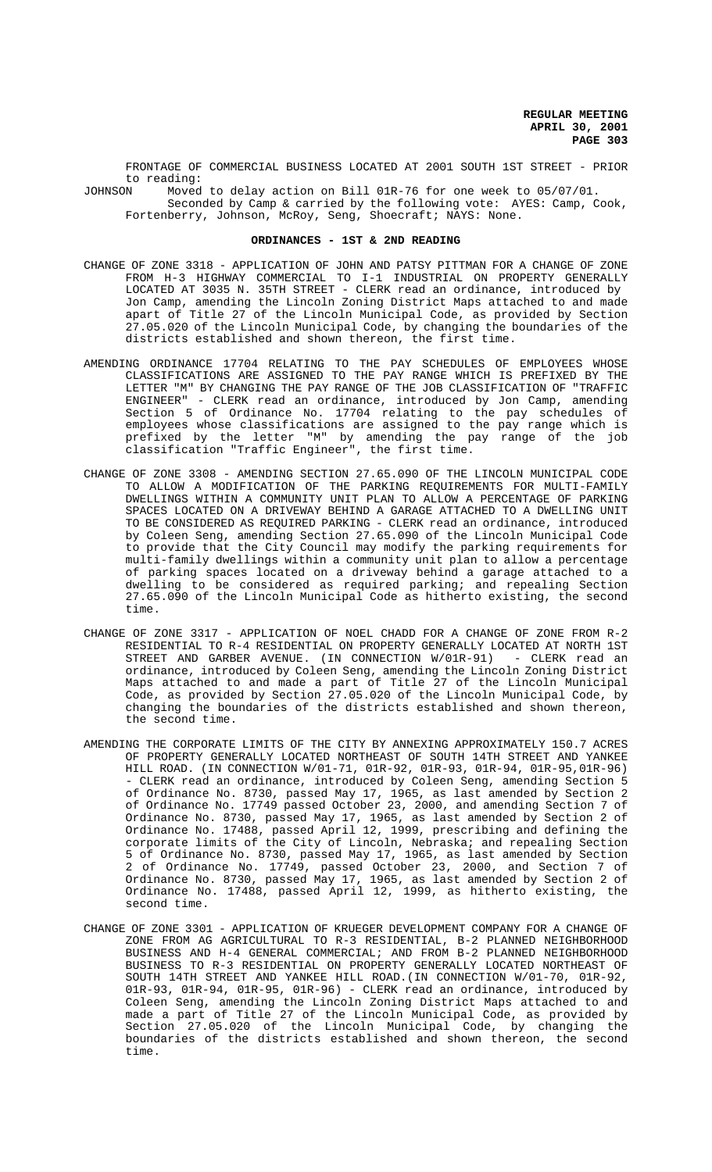FRONTAGE OF COMMERCIAL BUSINESS LOCATED AT 2001 SOUTH 1ST STREET - PRIOR to reading:<br>JOHNSON Moved

Moved to delay action on Bill 01R-76 for one week to 05/07/01. Seconded by Camp & carried by the following vote: AYES: Camp, Cook, Fortenberry, Johnson, McRoy, Seng, Shoecraft; NAYS: None.

# **ORDINANCES - 1ST & 2ND READING**

- CHANGE OF ZONE 3318 APPLICATION OF JOHN AND PATSY PITTMAN FOR A CHANGE OF ZONE FROM H-3 HIGHWAY COMMERCIAL TO I-1 INDUSTRIAL ON PROPERTY GENERALLY LOCATED AT 3035 N. 35TH STREET - CLERK read an ordinance, introduced by Jon Camp, amending the Lincoln Zoning District Maps attached to and made apart of Title 27 of the Lincoln Municipal Code, as provided by Section 27.05.020 of the Lincoln Municipal Code, by changing the boundaries of the districts established and shown thereon, the first time.
- AMENDING ORDINANCE 17704 RELATING TO THE PAY SCHEDULES OF EMPLOYEES WHOSE CLASSIFICATIONS ARE ASSIGNED TO THE PAY RANGE WHICH IS PREFIXED BY THE LETTER "M" BY CHANGING THE PAY RANGE OF THE JOB CLASSIFICATION OF "TRAFFIC ENGINEER" - CLERK read an ordinance, introduced by Jon Camp, amending Section 5 of Ordinance No. 17704 relating to the pay schedules of employees whose classifications are assigned to the pay range which is prefixed by the letter "M" by amending the pay range of the job classification "Traffic Engineer", the first time.
- CHANGE OF ZONE 3308 AMENDING SECTION 27.65.090 OF THE LINCOLN MUNICIPAL CODE TO ALLOW A MODIFICATION OF THE PARKING REQUIREMENTS FOR MULTI-FAMILY DWELLINGS WITHIN A COMMUNITY UNIT PLAN TO ALLOW A PERCENTAGE OF PARKING SPACES LOCATED ON A DRIVEWAY BEHIND A GARAGE ATTACHED TO A DWELLING UNIT TO BE CONSIDERED AS REQUIRED PARKING - CLERK read an ordinance, introduced by Coleen Seng, amending Section 27.65.090 of the Lincoln Municipal Code to provide that the City Council may modify the parking requirements for multi-family dwellings within a community unit plan to allow a percentage of parking spaces located on a driveway behind a garage attached to a dwelling to be considered as required parking; and repealing Section 27.65.090 of the Lincoln Municipal Code as hitherto existing, the second time.
- CHANGE OF ZONE 3317 APPLICATION OF NOEL CHADD FOR A CHANGE OF ZONE FROM R-2 RESIDENTIAL TO R-4 RESIDENTIAL ON PROPERTY GENERALLY LOCATED AT NORTH 1ST STREET AND GARBER AVENUE. (IN CONNECTION W/01R-91) - CLERK read an ordinance, introduced by Coleen Seng, amending the Lincoln Zoning District Maps attached to and made a part of Title 27 of the Lincoln Municipal Code, as provided by Section 27.05.020 of the Lincoln Municipal Code, by changing the boundaries of the districts established and shown thereon, the second time.
- AMENDING THE CORPORATE LIMITS OF THE CITY BY ANNEXING APPROXIMATELY 150.7 ACRES OF PROPERTY GENERALLY LOCATED NORTHEAST OF SOUTH 14TH STREET AND YANKEE HILL ROAD. (IN CONNECTION W/01-71, 01R-92, 01R-93, 01R-94, 01R-95,01R-96) - CLERK read an ordinance, introduced by Coleen Seng, amending Section 5 of Ordinance No. 8730, passed May 17, 1965, as last amended by Section 2 of Ordinance No. 17749 passed October 23, 2000, and amending Section 7 of Ordinance No. 8730, passed May 17, 1965, as last amended by Section 2 of Ordinance No. 17488, passed April 12, 1999, prescribing and defining the corporate limits of the City of Lincoln, Nebraska; and repealing Section 5 of Ordinance No. 8730, passed May 17, 1965, as last amended by Section 2 of Ordinance No. 17749, passed October 23, 2000, and Section 7 of Ordinance No. 8730, passed May 17, 1965, as last amended by Section 2 of Ordinance No. 17488, passed April 12, 1999, as hitherto existing, the second time.
- CHANGE OF ZONE 3301 APPLICATION OF KRUEGER DEVELOPMENT COMPANY FOR A CHANGE OF ZONE FROM AG AGRICULTURAL TO R-3 RESIDENTIAL, B-2 PLANNED NEIGHBORHOOD BUSINESS AND H-4 GENERAL COMMERCIAL; AND FROM B-2 PLANNED NEIGHBORHOOD BUSINESS TO R-3 RESIDENTIAL ON PROPERTY GENERALLY LOCATED NORTHEAST OF SOUTH 14TH STREET AND YANKEE HILL ROAD.(IN CONNECTION W/01-70, 01R-92, 01R-93, 01R-94, 01R-95, 01R-96) - CLERK read an ordinance, introduced by Coleen Seng, amending the Lincoln Zoning District Maps attached to and made a part of Title 27 of the Lincoln Municipal Code, as provided by Section 27.05.020 of the Lincoln Municipal Code, by changing the boundaries of the districts established and shown thereon, the second time.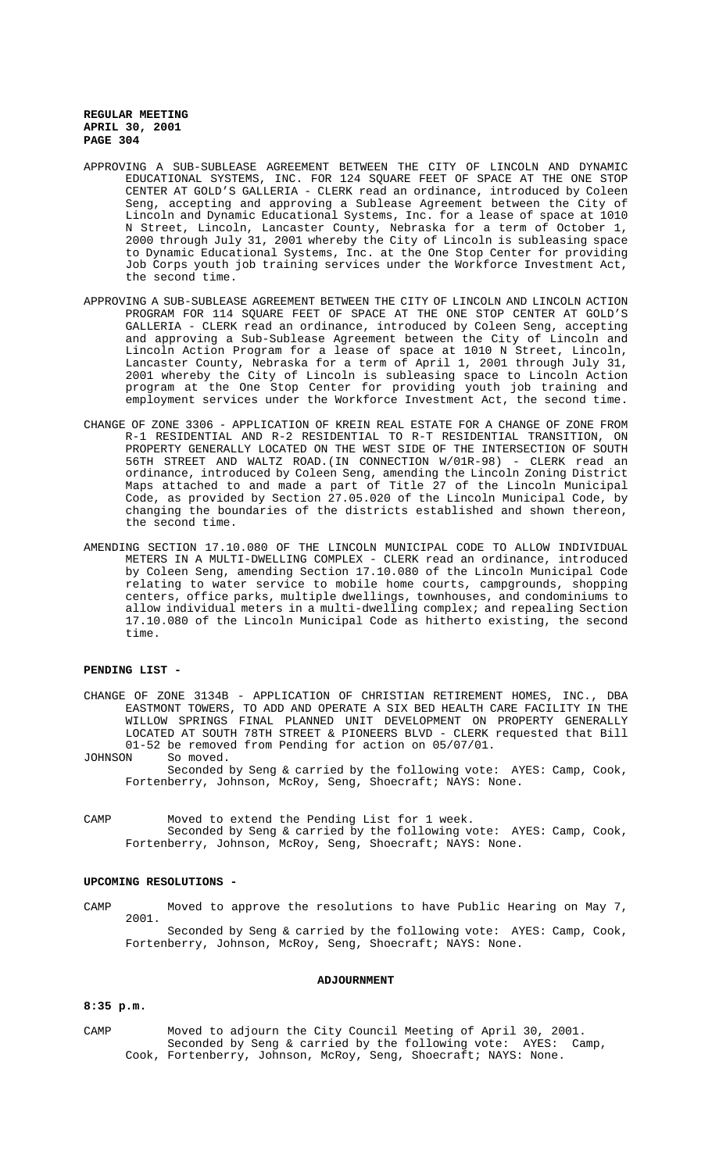- APPROVING A SUB-SUBLEASE AGREEMENT BETWEEN THE CITY OF LINCOLN AND DYNAMIC EDUCATIONAL SYSTEMS, INC. FOR 124 SQUARE FEET OF SPACE AT THE ONE STOP CENTER AT GOLD'S GALLERIA - CLERK read an ordinance, introduced by Coleen Seng, accepting and approving a Sublease Agreement between the City of Lincoln and Dynamic Educational Systems, Inc. for a lease of space at 1010 N Street, Lincoln, Lancaster County, Nebraska for a term of October 1, 2000 through July 31, 2001 whereby the City of Lincoln is subleasing space to Dynamic Educational Systems, Inc. at the One Stop Center for providing Job Corps youth job training services under the Workforce Investment Act, the second time.
- APPROVING A SUB-SUBLEASE AGREEMENT BETWEEN THE CITY OF LINCOLN AND LINCOLN ACTION PROGRAM FOR 114 SQUARE FEET OF SPACE AT THE ONE STOP CENTER AT GOLD'S GALLERIA - CLERK read an ordinance, introduced by Coleen Seng, accepting and approving a Sub-Sublease Agreement between the City of Lincoln and Lincoln Action Program for a lease of space at 1010 N Street, Lincoln, Lancaster County, Nebraska for a term of April 1, 2001 through July 31, 2001 whereby the City of Lincoln is subleasing space to Lincoln Action program at the One Stop Center for providing youth job training and employment services under the Workforce Investment Act, the second time.
- CHANGE OF ZONE 3306 APPLICATION OF KREIN REAL ESTATE FOR A CHANGE OF ZONE FROM R-1 RESIDENTIAL AND R-2 RESIDENTIAL TO R-T RESIDENTIAL TRANSITION, ON PROPERTY GENERALLY LOCATED ON THE WEST SIDE OF THE INTERSECTION OF SOUTH 56TH STREET AND WALTZ ROAD.(IN CONNECTION W/01R-98) - CLERK read an ordinance, introduced by Coleen Seng, amending the Lincoln Zoning District Maps attached to and made a part of Title 27 of the Lincoln Municipal Code, as provided by Section 27.05.020 of the Lincoln Municipal Code, by changing the boundaries of the districts established and shown thereon, the second time.
- AMENDING SECTION 17.10.080 OF THE LINCOLN MUNICIPAL CODE TO ALLOW INDIVIDUAL METERS IN A MULTI-DWELLING COMPLEX - CLERK read an ordinance, introduced by Coleen Seng, amending Section 17.10.080 of the Lincoln Municipal Code relating to water service to mobile home courts, campgrounds, shopping centers, office parks, multiple dwellings, townhouses, and condominiums to allow individual meters in a multi-dwelling complex; and repealing Section 17.10.080 of the Lincoln Municipal Code as hitherto existing, the second time.

# **PENDING LIST -**

- CHANGE OF ZONE 3134B APPLICATION OF CHRISTIAN RETIREMENT HOMES, INC., DBA EASTMONT TOWERS, TO ADD AND OPERATE A SIX BED HEALTH CARE FACILITY IN THE WILLOW SPRINGS FINAL PLANNED UNIT DEVELOPMENT ON PROPERTY GENERALLY LOCATED AT SOUTH 78TH STREET & PIONEERS BLVD - CLERK requested that Bill 01-52 be removed from Pending for action on 05/07/01.<br>JOHNSON So moved.
- So moved. Seconded by Seng & carried by the following vote: AYES: Camp, Cook, Fortenberry, Johnson, McRoy, Seng, Shoecraft; NAYS: None.
- CAMP Moved to extend the Pending List for 1 week. Seconded by Seng & carried by the following vote: AYES: Camp, Cook, Fortenberry, Johnson, McRoy, Seng, Shoecraft; NAYS: None.

## **UPCOMING RESOLUTIONS -**

CAMP Moved to approve the resolutions to have Public Hearing on May 7, 2001. Seconded by Seng & carried by the following vote: AYES: Camp, Cook, Fortenberry, Johnson, McRoy, Seng, Shoecraft; NAYS: None.

# **ADJOURNMENT**

### **8:35 p.m.**

CAMP Moved to adjourn the City Council Meeting of April 30, 2001. Seconded by Seng & carried by the following vote: AYES: Camp, Cook, Fortenberry, Johnson, McRoy, Seng, Shoecraft; NAYS: None.